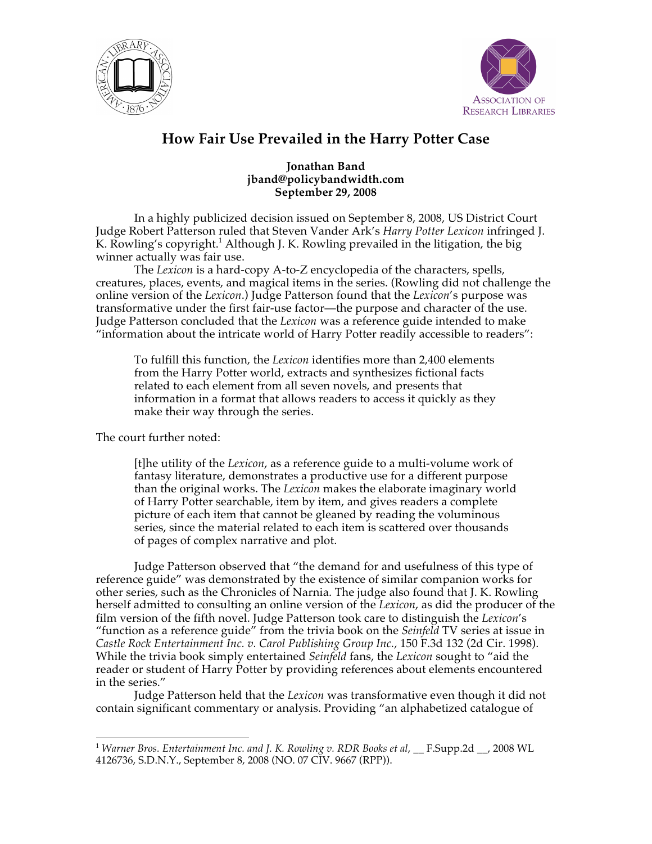



## **How Fair Use Prevailed in the Harry Potter Case**

## **Jonathan Band jband@policybandwidth.com September 29, 2008**

In a highly publicized decision issued on September 8, 2008, US District Court Judge Robert Patterson ruled that Steven Vander Ark's *Harry Potter Lexicon* infringed J. K. Rowling's copyright.<sup>1</sup> Although J. K. Rowling prevailed in the litigation, the big winner actually was fair use.

The *Lexicon* is a hard-copy A-to-Z encyclopedia of the characters, spells, creatures, places, events, and magical items in the series. (Rowling did not challenge the online version of the *Lexicon*.) Judge Patterson found that the *Lexicon*'s purpose was transformative under the first fair-use factor—the purpose and character of the use. Judge Patterson concluded that the *Lexicon* was a reference guide intended to make "information about the intricate world of Harry Potter readily accessible to readers":

To fulfill this function, the *Lexicon* identifies more than 2,400 elements from the Harry Potter world, extracts and synthesizes fictional facts related to each element from all seven novels, and presents that information in a format that allows readers to access it quickly as they make their way through the series.

The court further noted:

[t]he utility of the *Lexicon*, as a reference guide to a multi-volume work of fantasy literature, demonstrates a productive use for a different purpose than the original works. The *Lexicon* makes the elaborate imaginary world of Harry Potter searchable, item by item, and gives readers a complete picture of each item that cannot be gleaned by reading the voluminous series, since the material related to each item is scattered over thousands of pages of complex narrative and plot.

Judge Patterson observed that "the demand for and usefulness of this type of reference guide" was demonstrated by the existence of similar companion works for other series, such as the Chronicles of Narnia. The judge also found that J. K. Rowling herself admitted to consulting an online version of the *Lexicon*, as did the producer of the film version of the fifth novel. Judge Patterson took care to distinguish the *Lexicon*'s "function as a reference guide" from the trivia book on the *Seinfeld* TV series at issue in *Castle Rock Entertainment Inc. v. Carol Publishing Group Inc.,* 150 F.3d 132 (2d Cir. 1998). While the trivia book simply entertained *Seinfeld* fans, the *Lexicon* sought to "aid the reader or student of Harry Potter by providing references about elements encountered in the series."

Judge Patterson held that the *Lexicon* was transformative even though it did not contain significant commentary or analysis. Providing "an alphabetized catalogue of

<sup>&</sup>lt;sup>1</sup> Warner Bros. Entertainment Inc. and J. K. Rowling v. RDR Books et al, \_\_ F.Supp.2d \_\_, 2008 WL 4126736, S.D.N.Y., September 8, 2008 (NO. 07 CIV. 9667 (RPP)).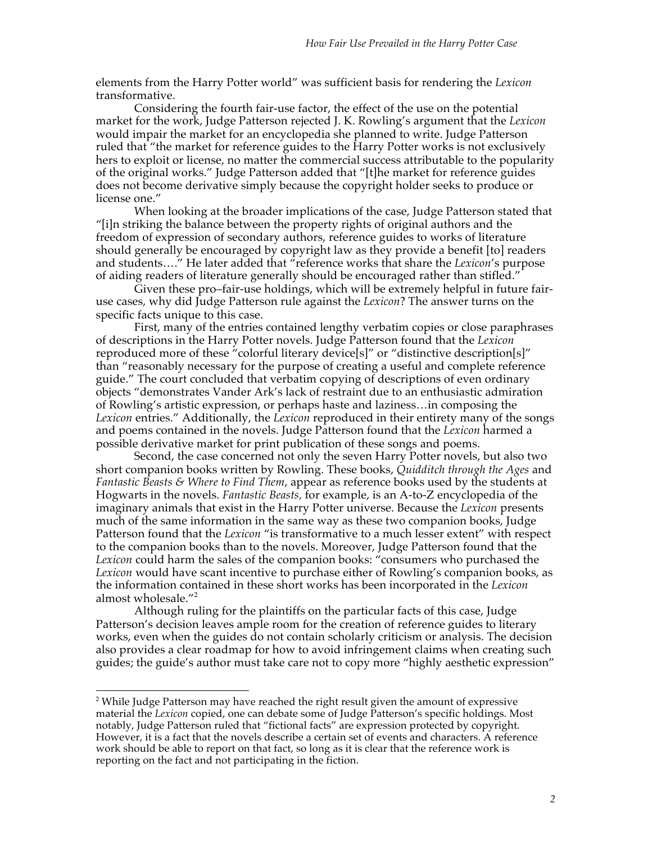elements from the Harry Potter world" was sufficient basis for rendering the *Lexicon* transformative.

Considering the fourth fair-use factor, the effect of the use on the potential market for the work, Judge Patterson rejected J. K. Rowling's argument that the *Lexicon* would impair the market for an encyclopedia she planned to write. Judge Patterson ruled that "the market for reference guides to the Harry Potter works is not exclusively hers to exploit or license, no matter the commercial success attributable to the popularity of the original works." Judge Patterson added that "[t]he market for reference guides does not become derivative simply because the copyright holder seeks to produce or license one."

When looking at the broader implications of the case, Judge Patterson stated that "[i]n striking the balance between the property rights of original authors and the freedom of expression of secondary authors, reference guides to works of literature should generally be encouraged by copyright law as they provide a benefit [to] readers and students…." He later added that "reference works that share the *Lexicon*'s purpose of aiding readers of literature generally should be encouraged rather than stifled."

Given these pro–fair-use holdings, which will be extremely helpful in future fairuse cases, why did Judge Patterson rule against the *Lexicon*? The answer turns on the specific facts unique to this case.

First, many of the entries contained lengthy verbatim copies or close paraphrases of descriptions in the Harry Potter novels. Judge Patterson found that the *Lexicon* reproduced more of these "colorful literary device[s]" or "distinctive description[s]" than "reasonably necessary for the purpose of creating a useful and complete reference guide." The court concluded that verbatim copying of descriptions of even ordinary objects "demonstrates Vander Ark's lack of restraint due to an enthusiastic admiration of Rowling's artistic expression, or perhaps haste and laziness…in composing the *Lexicon* entries." Additionally, the *Lexicon* reproduced in their entirety many of the songs and poems contained in the novels. Judge Patterson found that the *Lexicon* harmed a possible derivative market for print publication of these songs and poems.

Second, the case concerned not only the seven Harry Potter novels, but also two short companion books written by Rowling. These books, *Quidditch through the Ages* and *Fantastic Beasts & Where to Find Them*, appear as reference books used by the students at Hogwarts in the novels. *Fantastic Beasts,* for example, is an A-to-Z encyclopedia of the imaginary animals that exist in the Harry Potter universe. Because the *Lexicon* presents much of the same information in the same way as these two companion books, Judge Patterson found that the *Lexicon* "is transformative to a much lesser extent" with respect to the companion books than to the novels. Moreover, Judge Patterson found that the *Lexicon* could harm the sales of the companion books: "consumers who purchased the *Lexicon* would have scant incentive to purchase either of Rowling's companion books, as the information contained in these short works has been incorporated in the *Lexicon* almost wholesale."<sup>2</sup>

Although ruling for the plaintiffs on the particular facts of this case, Judge Patterson's decision leaves ample room for the creation of reference guides to literary works, even when the guides do not contain scholarly criticism or analysis. The decision also provides a clear roadmap for how to avoid infringement claims when creating such guides; the guide's author must take care not to copy more "highly aesthetic expression"

 $\frac{1}{2}$ <sup>2</sup> While Judge Patterson may have reached the right result given the amount of expressive material the *Lexicon* copied, one can debate some of Judge Patterson's specific holdings. Most notably, Judge Patterson ruled that "fictional facts" are expression protected by copyright. However, it is a fact that the novels describe a certain set of events and characters. A reference work should be able to report on that fact, so long as it is clear that the reference work is reporting on the fact and not participating in the fiction.